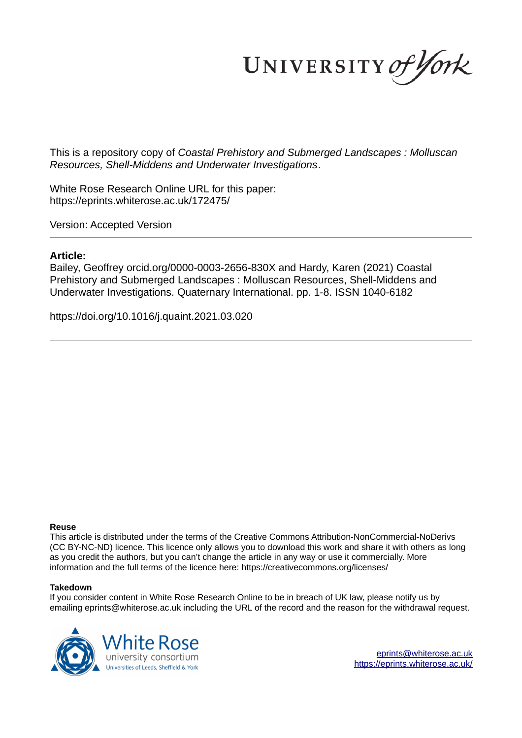UNIVERSITY of York

This is a repository copy of *Coastal Prehistory and Submerged Landscapes : Molluscan Resources, Shell-Middens and Underwater Investigations*.

White Rose Research Online URL for this paper: https://eprints.whiterose.ac.uk/172475/

Version: Accepted Version

### **Article:**

Bailey, Geoffrey orcid.org/0000-0003-2656-830X and Hardy, Karen (2021) Coastal Prehistory and Submerged Landscapes : Molluscan Resources, Shell-Middens and Underwater Investigations. Quaternary International. pp. 1-8. ISSN 1040-6182

https://doi.org/10.1016/j.quaint.2021.03.020

#### **Reuse**

This article is distributed under the terms of the Creative Commons Attribution-NonCommercial-NoDerivs (CC BY-NC-ND) licence. This licence only allows you to download this work and share it with others as long as you credit the authors, but you can't change the article in any way or use it commercially. More information and the full terms of the licence here: https://creativecommons.org/licenses/

#### **Takedown**

If you consider content in White Rose Research Online to be in breach of UK law, please notify us by emailing eprints@whiterose.ac.uk including the URL of the record and the reason for the withdrawal request.



eprints@whiterose.ac.uk https://eprints.whiterose.ac.uk/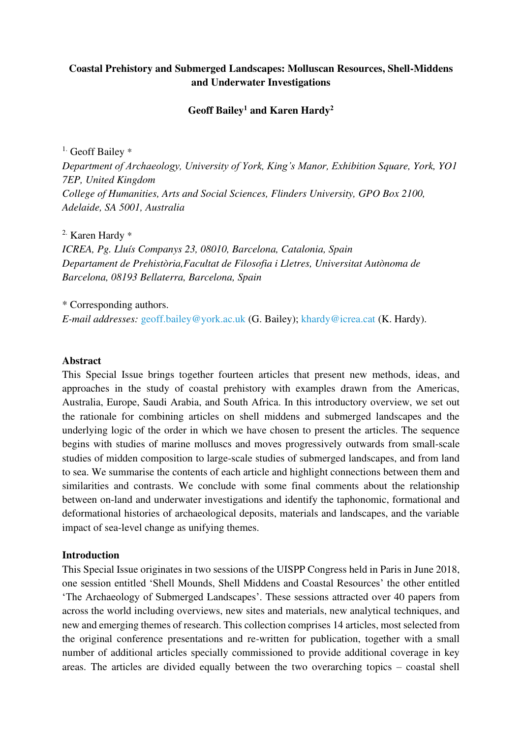# **Coastal Prehistory and Submerged Landscapes: Molluscan Resources, Shell-Middens and Underwater Investigations**

# **Geoff Bailey<sup>1</sup> and Karen Hardy<sup>2</sup>**

<sup>1.</sup> Geoff Bailey \*

*Department of Archaeology, University of York, King's Manor, Exhibition Square, York, YO1 7EP, United Kingdom College of Humanities, Arts and Social Sciences, Flinders University, GPO Box 2100, Adelaide, SA 5001, Australia* 

2. Karen Hardy \*

*ICREA, Pg. Lluís Companys 23, 08010, Barcelona, Catalonia, Spain Departament de Prehistòria,Facultat de Filosofia i Lletres, Universitat Autònoma de Barcelona, 08193 Bellaterra, Barcelona, Spain* 

\* Corresponding authors. *E-mail addresses:* [geoff.bailey@york.ac.uk](mailto:geoff.bailey@york.ac.uk) (G. Bailey); [khardy@icrea.cat](mailto:khardy@icrea.cat) (K. Hardy).

# **Abstract**

This Special Issue brings together fourteen articles that present new methods, ideas, and approaches in the study of coastal prehistory with examples drawn from the Americas, Australia, Europe, Saudi Arabia, and South Africa. In this introductory overview, we set out the rationale for combining articles on shell middens and submerged landscapes and the underlying logic of the order in which we have chosen to present the articles. The sequence begins with studies of marine molluscs and moves progressively outwards from small-scale studies of midden composition to large-scale studies of submerged landscapes, and from land to sea. We summarise the contents of each article and highlight connections between them and similarities and contrasts. We conclude with some final comments about the relationship between on-land and underwater investigations and identify the taphonomic, formational and deformational histories of archaeological deposits, materials and landscapes, and the variable impact of sea-level change as unifying themes.

# **Introduction**

This Special Issue originates in two sessions of the UISPP Congress held in Paris in June 2018, one session entitled 'Shell Mounds, Shell Middens and Coastal Resources' the other entitled 'The Archaeology of Submerged Landscapes'. These sessions attracted over 40 papers from across the world including overviews, new sites and materials, new analytical techniques, and new and emerging themes of research. This collection comprises 14 articles, most selected from the original conference presentations and re-written for publication, together with a small number of additional articles specially commissioned to provide additional coverage in key areas. The articles are divided equally between the two overarching topics – coastal shell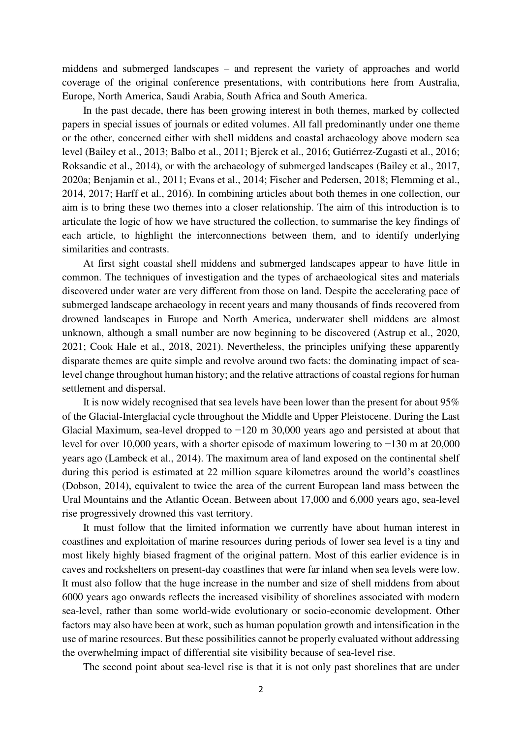middens and submerged landscapes – and represent the variety of approaches and world coverage of the original conference presentations, with contributions here from Australia, Europe, North America, Saudi Arabia, South Africa and South America.

In the past decade, there has been growing interest in both themes, marked by collected papers in special issues of journals or edited volumes. All fall predominantly under one theme or the other, concerned either with shell middens and coastal archaeology above modern sea level (Bailey et al., 2013; Balbo et al., 2011; Bjerck et al., 2016; Gutiérrez-Zugasti et al., 2016; Roksandic et al., 2014), or with the archaeology of submerged landscapes (Bailey et al., 2017, 2020a; Benjamin et al., 2011; Evans et al., 2014; Fischer and Pedersen, 2018; Flemming et al., 2014, 2017; Harff et al., 2016). In combining articles about both themes in one collection, our aim is to bring these two themes into a closer relationship. The aim of this introduction is to articulate the logic of how we have structured the collection, to summarise the key findings of each article, to highlight the interconnections between them, and to identify underlying similarities and contrasts.

At first sight coastal shell middens and submerged landscapes appear to have little in common. The techniques of investigation and the types of archaeological sites and materials discovered under water are very different from those on land. Despite the accelerating pace of submerged landscape archaeology in recent years and many thousands of finds recovered from drowned landscapes in Europe and North America, underwater shell middens are almost unknown, although a small number are now beginning to be discovered (Astrup et al., 2020, 2021; Cook Hale et al., 2018, 2021). Nevertheless, the principles unifying these apparently disparate themes are quite simple and revolve around two facts: the dominating impact of sealevel change throughout human history; and the relative attractions of coastal regions for human settlement and dispersal.

It is now widely recognised that sea levels have been lower than the present for about 95% of the Glacial-Interglacial cycle throughout the Middle and Upper Pleistocene. During the Last Glacial Maximum, sea-level dropped to −120 m 30,000 years ago and persisted at about that level for over 10,000 years, with a shorter episode of maximum lowering to −130 m at 20,000 years ago (Lambeck et al., 2014). The maximum area of land exposed on the continental shelf during this period is estimated at 22 million square kilometres around the world's coastlines (Dobson, 2014), equivalent to twice the area of the current European land mass between the Ural Mountains and the Atlantic Ocean. Between about 17,000 and 6,000 years ago, sea-level rise progressively drowned this vast territory.

It must follow that the limited information we currently have about human interest in coastlines and exploitation of marine resources during periods of lower sea level is a tiny and most likely highly biased fragment of the original pattern. Most of this earlier evidence is in caves and rockshelters on present-day coastlines that were far inland when sea levels were low. It must also follow that the huge increase in the number and size of shell middens from about 6000 years ago onwards reflects the increased visibility of shorelines associated with modern sea-level, rather than some world-wide evolutionary or socio-economic development. Other factors may also have been at work, such as human population growth and intensification in the use of marine resources. But these possibilities cannot be properly evaluated without addressing the overwhelming impact of differential site visibility because of sea-level rise.

The second point about sea-level rise is that it is not only past shorelines that are under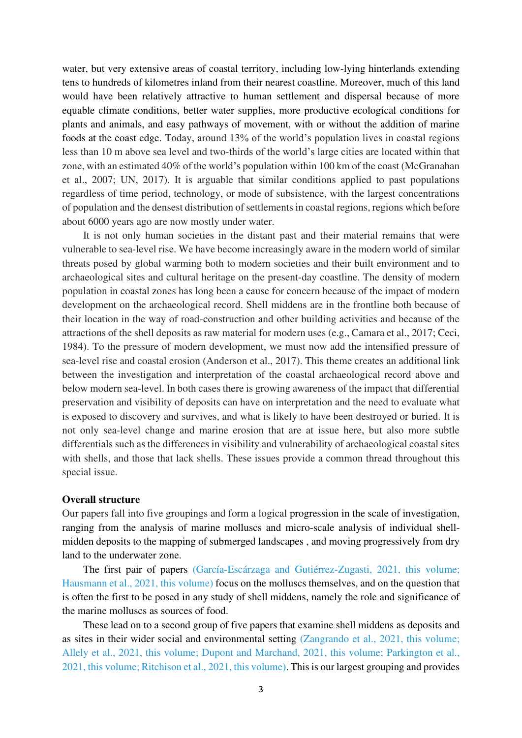water, but very extensive areas of coastal territory, including low-lying hinterlands extending tens to hundreds of kilometres inland from their nearest coastline. Moreover, much of this land would have been relatively attractive to human settlement and dispersal because of more equable climate conditions, better water supplies, more productive ecological conditions for plants and animals, and easy pathways of movement, with or without the addition of marine foods at the coast edge. Today, around 13% of the world's population lives in coastal regions less than 10 m above sea level and two-thirds of the world's large cities are located within that zone, with an estimated 40% of the world's population within 100 km of the coast (McGranahan et al., 2007; UN, 2017). It is arguable that similar conditions applied to past populations regardless of time period, technology, or mode of subsistence, with the largest concentrations of population and the densest distribution of settlements in coastal regions, regions which before about 6000 years ago are now mostly under water.

It is not only human societies in the distant past and their material remains that were vulnerable to sea-level rise. We have become increasingly aware in the modern world of similar threats posed by global warming both to modern societies and their built environment and to archaeological sites and cultural heritage on the present-day coastline. The density of modern population in coastal zones has long been a cause for concern because of the impact of modern development on the archaeological record. Shell middens are in the frontline both because of their location in the way of road-construction and other building activities and because of the attractions of the shell deposits as raw material for modern uses (e.g., Camara et al., 2017; Ceci, 1984). To the pressure of modern development, we must now add the intensified pressure of sea-level rise and coastal erosion (Anderson et al., 2017). This theme creates an additional link between the investigation and interpretation of the coastal archaeological record above and below modern sea-level. In both cases there is growing awareness of the impact that differential preservation and visibility of deposits can have on interpretation and the need to evaluate what is exposed to discovery and survives, and what is likely to have been destroyed or buried. It is not only sea-level change and marine erosion that are at issue here, but also more subtle differentials such as the differences in visibility and vulnerability of archaeological coastal sites with shells, and those that lack shells. These issues provide a common thread throughout this special issue.

### **Overall structure**

Our papers fall into five groupings and form a logical progression in the scale of investigation, ranging from the analysis of marine molluscs and micro-scale analysis of individual shellmidden deposits to the mapping of submerged landscapes , and moving progressively from dry land to the underwater zone.

The first pair of papers (García-Escárzaga and Gutiérrez-Zugasti, 2021, this volume; Hausmann et al., 2021, this volume) focus on the molluscs themselves, and on the question that is often the first to be posed in any study of shell middens, namely the role and significance of the marine molluscs as sources of food.

These lead on to a second group of five papers that examine shell middens as deposits and as sites in their wider social and environmental setting (Zangrando et al., 2021, this volume; Allely et al., 2021, this volume; Dupont and Marchand, 2021, this volume; Parkington et al., 2021, this volume; Ritchison et al., 2021, this volume). This is our largest grouping and provides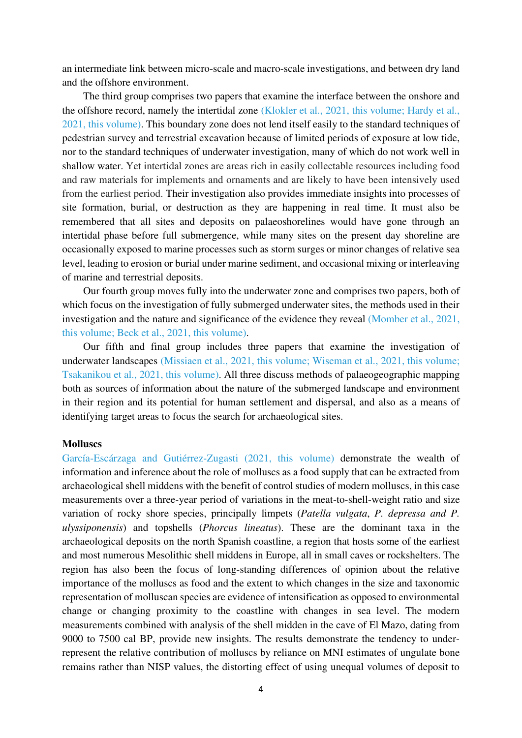an intermediate link between micro-scale and macro-scale investigations, and between dry land and the offshore environment.

The third group comprises two papers that examine the interface between the onshore and the offshore record, namely the intertidal zone (Klokler et al., 2021, this volume; Hardy et al., 2021, this volume). This boundary zone does not lend itself easily to the standard techniques of pedestrian survey and terrestrial excavation because of limited periods of exposure at low tide, nor to the standard techniques of underwater investigation, many of which do not work well in shallow water. Yet intertidal zones are areas rich in easily collectable resources including food and raw materials for implements and ornaments and are likely to have been intensively used from the earliest period. Their investigation also provides immediate insights into processes of site formation, burial, or destruction as they are happening in real time. It must also be remembered that all sites and deposits on palaeoshorelines would have gone through an intertidal phase before full submergence, while many sites on the present day shoreline are occasionally exposed to marine processes such as storm surges or minor changes of relative sea level, leading to erosion or burial under marine sediment, and occasional mixing or interleaving of marine and terrestrial deposits.

Our fourth group moves fully into the underwater zone and comprises two papers, both of which focus on the investigation of fully submerged underwater sites, the methods used in their investigation and the nature and significance of the evidence they reveal (Momber et al., 2021, this volume; Beck et al., 2021, this volume).

Our fifth and final group includes three papers that examine the investigation of underwater landscapes (Missiaen et al., 2021, this volume; Wiseman et al., 2021, this volume; Tsakanikou et al., 2021, this volume). All three discuss methods of palaeogeographic mapping both as sources of information about the nature of the submerged landscape and environment in their region and its potential for human settlement and dispersal, and also as a means of identifying target areas to focus the search for archaeological sites.

### **Molluscs**

García-Escárzaga and Gutiérrez-Zugasti (2021, this volume) demonstrate the wealth of information and inference about the role of molluscs as a food supply that can be extracted from archaeological shell middens with the benefit of control studies of modern molluscs, in this case measurements over a three-year period of variations in the meat-to-shell-weight ratio and size variation of rocky shore species, principally limpets (*Patella vulgata*, *P. depressa and P. ulyssiponensis*) and topshells (*Phorcus lineatus*). These are the dominant taxa in the archaeological deposits on the north Spanish coastline, a region that hosts some of the earliest and most numerous Mesolithic shell middens in Europe, all in small caves or rockshelters. The region has also been the focus of long-standing differences of opinion about the relative importance of the molluscs as food and the extent to which changes in the size and taxonomic representation of molluscan species are evidence of intensification as opposed to environmental change or changing proximity to the coastline with changes in sea level. The modern measurements combined with analysis of the shell midden in the cave of El Mazo, dating from 9000 to 7500 cal BP, provide new insights. The results demonstrate the tendency to underrepresent the relative contribution of molluscs by reliance on MNI estimates of ungulate bone remains rather than NISP values, the distorting effect of using unequal volumes of deposit to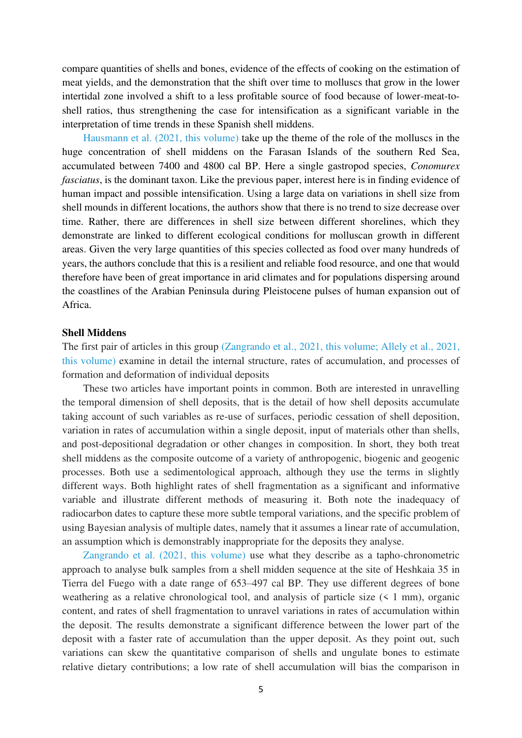compare quantities of shells and bones, evidence of the effects of cooking on the estimation of meat yields, and the demonstration that the shift over time to molluscs that grow in the lower intertidal zone involved a shift to a less profitable source of food because of lower-meat-toshell ratios, thus strengthening the case for intensification as a significant variable in the interpretation of time trends in these Spanish shell middens.

Hausmann et al. (2021, this volume) take up the theme of the role of the molluscs in the huge concentration of shell middens on the Farasan Islands of the southern Red Sea, accumulated between 7400 and 4800 cal BP. Here a single gastropod species, *Conomurex fasciatus*, is the dominant taxon. Like the previous paper, interest here is in finding evidence of human impact and possible intensification. Using a large data on variations in shell size from shell mounds in different locations, the authors show that there is no trend to size decrease over time. Rather, there are differences in shell size between different shorelines, which they demonstrate are linked to different ecological conditions for molluscan growth in different areas. Given the very large quantities of this species collected as food over many hundreds of years, the authors conclude that this is a resilient and reliable food resource, and one that would therefore have been of great importance in arid climates and for populations dispersing around the coastlines of the Arabian Peninsula during Pleistocene pulses of human expansion out of Africa.

#### **Shell Middens**

The first pair of articles in this group (Zangrando et al., 2021, this volume; Allely et al., 2021, this volume) examine in detail the internal structure, rates of accumulation, and processes of formation and deformation of individual deposits

These two articles have important points in common. Both are interested in unravelling the temporal dimension of shell deposits, that is the detail of how shell deposits accumulate taking account of such variables as re-use of surfaces, periodic cessation of shell deposition, variation in rates of accumulation within a single deposit, input of materials other than shells, and post-depositional degradation or other changes in composition. In short, they both treat shell middens as the composite outcome of a variety of anthropogenic, biogenic and geogenic processes. Both use a sedimentological approach, although they use the terms in slightly different ways. Both highlight rates of shell fragmentation as a significant and informative variable and illustrate different methods of measuring it. Both note the inadequacy of radiocarbon dates to capture these more subtle temporal variations, and the specific problem of using Bayesian analysis of multiple dates, namely that it assumes a linear rate of accumulation, an assumption which is demonstrably inappropriate for the deposits they analyse.

Zangrando et al. (2021, this volume) use what they describe as a tapho-chronometric approach to analyse bulk samples from a shell midden sequence at the site of Heshkaia 35 in Tierra del Fuego with a date range of 653–497 cal BP. They use different degrees of bone weathering as a relative chronological tool, and analysis of particle size (< 1 mm), organic content, and rates of shell fragmentation to unravel variations in rates of accumulation within the deposit. The results demonstrate a significant difference between the lower part of the deposit with a faster rate of accumulation than the upper deposit. As they point out, such variations can skew the quantitative comparison of shells and ungulate bones to estimate relative dietary contributions; a low rate of shell accumulation will bias the comparison in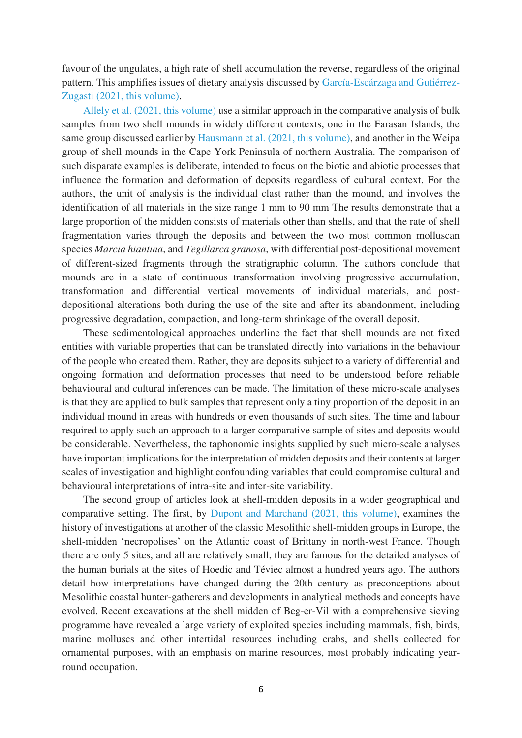favour of the ungulates, a high rate of shell accumulation the reverse, regardless of the original pattern. This amplifies issues of dietary analysis discussed by García-Escárzaga and Gutiérrez-Zugasti (2021, this volume).

Allely et al. (2021, this volume) use a similar approach in the comparative analysis of bulk samples from two shell mounds in widely different contexts, one in the Farasan Islands, the same group discussed earlier by Hausmann et al. (2021, this volume), and another in the Weipa group of shell mounds in the Cape York Peninsula of northern Australia. The comparison of such disparate examples is deliberate, intended to focus on the biotic and abiotic processes that influence the formation and deformation of deposits regardless of cultural context. For the authors, the unit of analysis is the individual clast rather than the mound, and involves the identification of all materials in the size range 1 mm to 90 mm The results demonstrate that a large proportion of the midden consists of materials other than shells, and that the rate of shell fragmentation varies through the deposits and between the two most common molluscan species *Marcia hiantina*, and *Tegillarca granosa*, with differential post-depositional movement of different-sized fragments through the stratigraphic column. The authors conclude that mounds are in a state of continuous transformation involving progressive accumulation, transformation and differential vertical movements of individual materials, and postdepositional alterations both during the use of the site and after its abandonment, including progressive degradation, compaction, and long-term shrinkage of the overall deposit.

These sedimentological approaches underline the fact that shell mounds are not fixed entities with variable properties that can be translated directly into variations in the behaviour of the people who created them. Rather, they are deposits subject to a variety of differential and ongoing formation and deformation processes that need to be understood before reliable behavioural and cultural inferences can be made. The limitation of these micro-scale analyses is that they are applied to bulk samples that represent only a tiny proportion of the deposit in an individual mound in areas with hundreds or even thousands of such sites. The time and labour required to apply such an approach to a larger comparative sample of sites and deposits would be considerable. Nevertheless, the taphonomic insights supplied by such micro-scale analyses have important implications for the interpretation of midden deposits and their contents at larger scales of investigation and highlight confounding variables that could compromise cultural and behavioural interpretations of intra-site and inter-site variability.

The second group of articles look at shell-midden deposits in a wider geographical and comparative setting. The first, by Dupont and Marchand (2021, this volume), examines the history of investigations at another of the classic Mesolithic shell-midden groups in Europe, the shell-midden 'necropolises' on the Atlantic coast of Brittany in north-west France. Though there are only 5 sites, and all are relatively small, they are famous for the detailed analyses of the human burials at the sites of Hoedic and Téviec almost a hundred years ago. The authors detail how interpretations have changed during the 20th century as preconceptions about Mesolithic coastal hunter-gatherers and developments in analytical methods and concepts have evolved. Recent excavations at the shell midden of Beg-er-Vil with a comprehensive sieving programme have revealed a large variety of exploited species including mammals, fish, birds, marine molluscs and other intertidal resources including crabs, and shells collected for ornamental purposes, with an emphasis on marine resources, most probably indicating yearround occupation.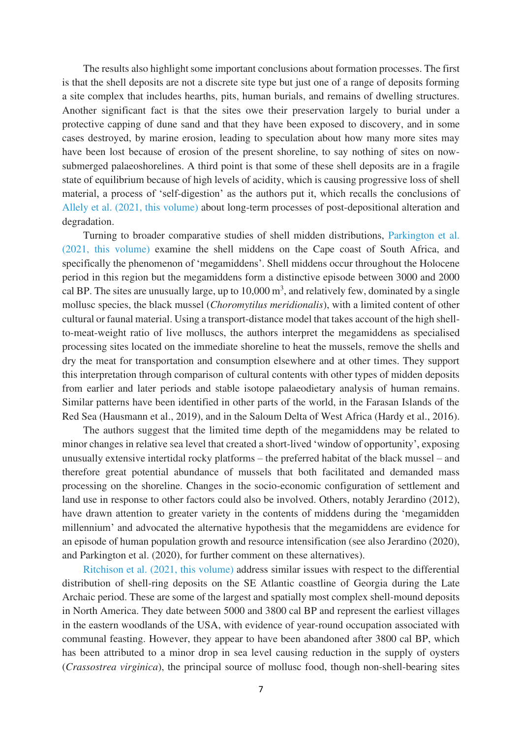The results also highlight some important conclusions about formation processes. The first is that the shell deposits are not a discrete site type but just one of a range of deposits forming a site complex that includes hearths, pits, human burials, and remains of dwelling structures. Another significant fact is that the sites owe their preservation largely to burial under a protective capping of dune sand and that they have been exposed to discovery, and in some cases destroyed, by marine erosion, leading to speculation about how many more sites may have been lost because of erosion of the present shoreline, to say nothing of sites on nowsubmerged palaeoshorelines. A third point is that some of these shell deposits are in a fragile state of equilibrium because of high levels of acidity, which is causing progressive loss of shell material, a process of 'self-digestion' as the authors put it, which recalls the conclusions of Allely et al. (2021, this volume) about long-term processes of post-depositional alteration and degradation.

Turning to broader comparative studies of shell midden distributions, Parkington et al. (2021, this volume) examine the shell middens on the Cape coast of South Africa, and specifically the phenomenon of 'megamiddens'. Shell middens occur throughout the Holocene period in this region but the megamiddens form a distinctive episode between 3000 and 2000 cal BP. The sites are unusually large, up to  $10,000 \text{ m}^3$ , and relatively few, dominated by a single mollusc species, the black mussel (*Choromytilus meridionalis*), with a limited content of other cultural or faunal material. Using a transport-distance model that takes account of the high shellto-meat-weight ratio of live molluscs, the authors interpret the megamiddens as specialised processing sites located on the immediate shoreline to heat the mussels, remove the shells and dry the meat for transportation and consumption elsewhere and at other times. They support this interpretation through comparison of cultural contents with other types of midden deposits from earlier and later periods and stable isotope palaeodietary analysis of human remains. Similar patterns have been identified in other parts of the world, in the Farasan Islands of the Red Sea (Hausmann et al., 2019), and in the Saloum Delta of West Africa (Hardy et al., 2016).

The authors suggest that the limited time depth of the megamiddens may be related to minor changes in relative sea level that created a short-lived 'window of opportunity', exposing unusually extensive intertidal rocky platforms – the preferred habitat of the black mussel – and therefore great potential abundance of mussels that both facilitated and demanded mass processing on the shoreline. Changes in the socio-economic configuration of settlement and land use in response to other factors could also be involved. Others, notably Jerardino (2012), have drawn attention to greater variety in the contents of middens during the 'megamidden millennium' and advocated the alternative hypothesis that the megamiddens are evidence for an episode of human population growth and resource intensification (see also Jerardino (2020), and Parkington et al. (2020), for further comment on these alternatives).

Ritchison et al. (2021, this volume) address similar issues with respect to the differential distribution of shell-ring deposits on the SE Atlantic coastline of Georgia during the Late Archaic period. These are some of the largest and spatially most complex shell-mound deposits in North America. They date between 5000 and 3800 cal BP and represent the earliest villages in the eastern woodlands of the USA, with evidence of year-round occupation associated with communal feasting. However, they appear to have been abandoned after 3800 cal BP, which has been attributed to a minor drop in sea level causing reduction in the supply of oysters (*Crassostrea virginica*), the principal source of mollusc food, though non-shell-bearing sites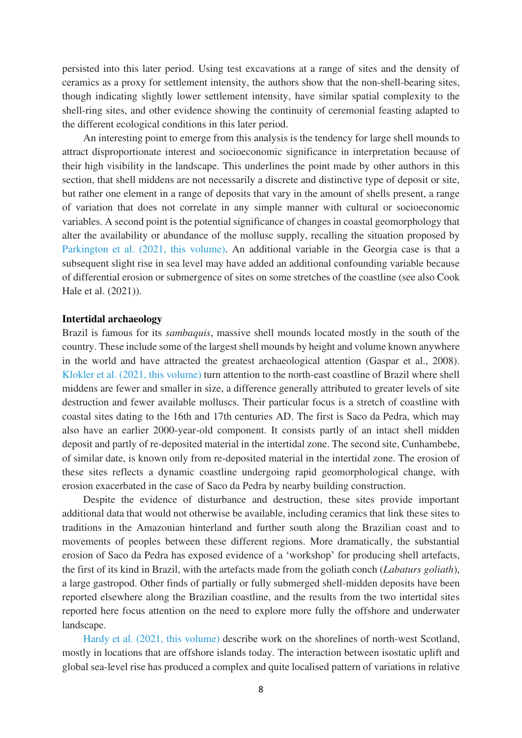persisted into this later period. Using test excavations at a range of sites and the density of ceramics as a proxy for settlement intensity, the authors show that the non-shell-bearing sites, though indicating slightly lower settlement intensity, have similar spatial complexity to the shell-ring sites, and other evidence showing the continuity of ceremonial feasting adapted to the different ecological conditions in this later period.

An interesting point to emerge from this analysis is the tendency for large shell mounds to attract disproportionate interest and socioeconomic significance in interpretation because of their high visibility in the landscape. This underlines the point made by other authors in this section, that shell middens are not necessarily a discrete and distinctive type of deposit or site, but rather one element in a range of deposits that vary in the amount of shells present, a range of variation that does not correlate in any simple manner with cultural or socioeconomic variables. A second point is the potential significance of changes in coastal geomorphology that alter the availability or abundance of the mollusc supply, recalling the situation proposed by Parkington et al. (2021, this volume). An additional variable in the Georgia case is that a subsequent slight rise in sea level may have added an additional confounding variable because of differential erosion or submergence of sites on some stretches of the coastline (see also Cook Hale et al. (2021)).

#### **Intertidal archaeology**

Brazil is famous for its *sambaquis*, massive shell mounds located mostly in the south of the country. These include some of the largest shell mounds by height and volume known anywhere in the world and have attracted the greatest archaeological attention (Gaspar et al., 2008). Klokler et al. (2021, this volume) turn attention to the north-east coastline of Brazil where shell middens are fewer and smaller in size, a difference generally attributed to greater levels of site destruction and fewer available molluscs. Their particular focus is a stretch of coastline with coastal sites dating to the 16th and 17th centuries AD. The first is Saco da Pedra, which may also have an earlier 2000-year-old component. It consists partly of an intact shell midden deposit and partly of re-deposited material in the intertidal zone. The second site, Cunhambebe, of similar date, is known only from re-deposited material in the intertidal zone. The erosion of these sites reflects a dynamic coastline undergoing rapid geomorphological change, with erosion exacerbated in the case of Saco da Pedra by nearby building construction.

Despite the evidence of disturbance and destruction, these sites provide important additional data that would not otherwise be available, including ceramics that link these sites to traditions in the Amazonian hinterland and further south along the Brazilian coast and to movements of peoples between these different regions. More dramatically, the substantial erosion of Saco da Pedra has exposed evidence of a 'workshop' for producing shell artefacts, the first of its kind in Brazil, with the artefacts made from the goliath conch (*Labaturs goliath*), a large gastropod. Other finds of partially or fully submerged shell-midden deposits have been reported elsewhere along the Brazilian coastline, and the results from the two intertidal sites reported here focus attention on the need to explore more fully the offshore and underwater landscape.

Hardy et al. (2021, this volume) describe work on the shorelines of north-west Scotland, mostly in locations that are offshore islands today. The interaction between isostatic uplift and global sea-level rise has produced a complex and quite localised pattern of variations in relative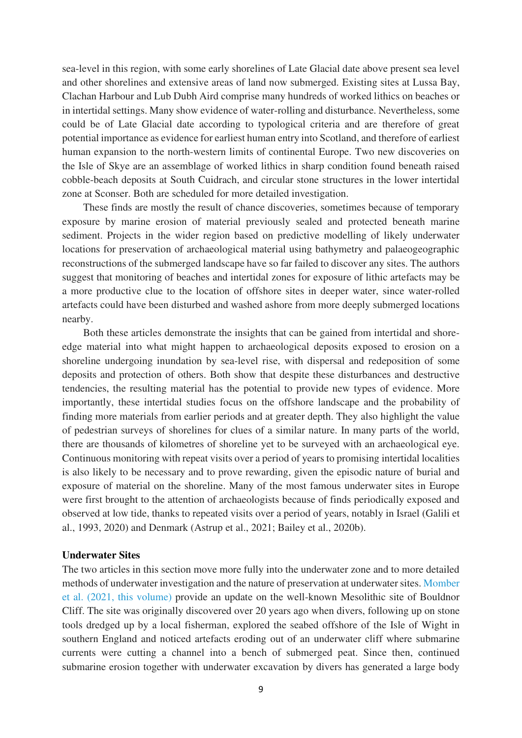sea-level in this region, with some early shorelines of Late Glacial date above present sea level and other shorelines and extensive areas of land now submerged. Existing sites at Lussa Bay, Clachan Harbour and Lub Dubh Aird comprise many hundreds of worked lithics on beaches or in intertidal settings. Many show evidence of water-rolling and disturbance. Nevertheless, some could be of Late Glacial date according to typological criteria and are therefore of great potential importance as evidence for earliest human entry into Scotland, and therefore of earliest human expansion to the north-western limits of continental Europe. Two new discoveries on the Isle of Skye are an assemblage of worked lithics in sharp condition found beneath raised cobble-beach deposits at South Cuidrach, and circular stone structures in the lower intertidal zone at Sconser. Both are scheduled for more detailed investigation.

These finds are mostly the result of chance discoveries, sometimes because of temporary exposure by marine erosion of material previously sealed and protected beneath marine sediment. Projects in the wider region based on predictive modelling of likely underwater locations for preservation of archaeological material using bathymetry and palaeogeographic reconstructions of the submerged landscape have so far failed to discover any sites. The authors suggest that monitoring of beaches and intertidal zones for exposure of lithic artefacts may be a more productive clue to the location of offshore sites in deeper water, since water-rolled artefacts could have been disturbed and washed ashore from more deeply submerged locations nearby.

Both these articles demonstrate the insights that can be gained from intertidal and shoreedge material into what might happen to archaeological deposits exposed to erosion on a shoreline undergoing inundation by sea-level rise, with dispersal and redeposition of some deposits and protection of others. Both show that despite these disturbances and destructive tendencies, the resulting material has the potential to provide new types of evidence. More importantly, these intertidal studies focus on the offshore landscape and the probability of finding more materials from earlier periods and at greater depth. They also highlight the value of pedestrian surveys of shorelines for clues of a similar nature. In many parts of the world, there are thousands of kilometres of shoreline yet to be surveyed with an archaeological eye. Continuous monitoring with repeat visits over a period of years to promising intertidal localities is also likely to be necessary and to prove rewarding, given the episodic nature of burial and exposure of material on the shoreline. Many of the most famous underwater sites in Europe were first brought to the attention of archaeologists because of finds periodically exposed and observed at low tide, thanks to repeated visits over a period of years, notably in Israel (Galili et al., 1993, 2020) and Denmark (Astrup et al., 2021; Bailey et al., 2020b).

### **Underwater Sites**

The two articles in this section move more fully into the underwater zone and to more detailed methods of underwater investigation and the nature of preservation at underwater sites. Momber et al. (2021, this volume) provide an update on the well-known Mesolithic site of Bouldnor Cliff. The site was originally discovered over 20 years ago when divers, following up on stone tools dredged up by a local fisherman, explored the seabed offshore of the Isle of Wight in southern England and noticed artefacts eroding out of an underwater cliff where submarine currents were cutting a channel into a bench of submerged peat. Since then, continued submarine erosion together with underwater excavation by divers has generated a large body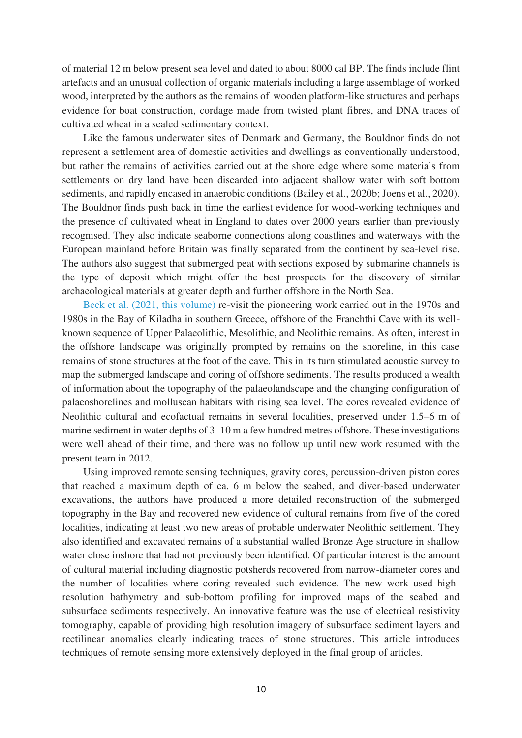of material 12 m below present sea level and dated to about 8000 cal BP. The finds include flint artefacts and an unusual collection of organic materials including a large assemblage of worked wood, interpreted by the authors as the remains of wooden platform-like structures and perhaps evidence for boat construction, cordage made from twisted plant fibres, and DNA traces of cultivated wheat in a sealed sedimentary context.

Like the famous underwater sites of Denmark and Germany, the Bouldnor finds do not represent a settlement area of domestic activities and dwellings as conventionally understood, but rather the remains of activities carried out at the shore edge where some materials from settlements on dry land have been discarded into adjacent shallow water with soft bottom sediments, and rapidly encased in anaerobic conditions (Bailey et al., 2020b; Joens et al., 2020). The Bouldnor finds push back in time the earliest evidence for wood-working techniques and the presence of cultivated wheat in England to dates over 2000 years earlier than previously recognised. They also indicate seaborne connections along coastlines and waterways with the European mainland before Britain was finally separated from the continent by sea-level rise. The authors also suggest that submerged peat with sections exposed by submarine channels is the type of deposit which might offer the best prospects for the discovery of similar archaeological materials at greater depth and further offshore in the North Sea.

Beck et al. (2021, this volume) re-visit the pioneering work carried out in the 1970s and 1980s in the Bay of Kiladha in southern Greece, offshore of the Franchthi Cave with its wellknown sequence of Upper Palaeolithic, Mesolithic, and Neolithic remains. As often, interest in the offshore landscape was originally prompted by remains on the shoreline, in this case remains of stone structures at the foot of the cave. This in its turn stimulated acoustic survey to map the submerged landscape and coring of offshore sediments. The results produced a wealth of information about the topography of the palaeolandscape and the changing configuration of palaeoshorelines and molluscan habitats with rising sea level. The cores revealed evidence of Neolithic cultural and ecofactual remains in several localities, preserved under 1.5–6 m of marine sediment in water depths of 3–10 m a few hundred metres offshore. These investigations were well ahead of their time, and there was no follow up until new work resumed with the present team in 2012.

Using improved remote sensing techniques, gravity cores, percussion-driven piston cores that reached a maximum depth of ca. 6 m below the seabed, and diver-based underwater excavations, the authors have produced a more detailed reconstruction of the submerged topography in the Bay and recovered new evidence of cultural remains from five of the cored localities, indicating at least two new areas of probable underwater Neolithic settlement. They also identified and excavated remains of a substantial walled Bronze Age structure in shallow water close inshore that had not previously been identified. Of particular interest is the amount of cultural material including diagnostic potsherds recovered from narrow-diameter cores and the number of localities where coring revealed such evidence. The new work used highresolution bathymetry and sub-bottom profiling for improved maps of the seabed and subsurface sediments respectively. An innovative feature was the use of electrical resistivity tomography, capable of providing high resolution imagery of subsurface sediment layers and rectilinear anomalies clearly indicating traces of stone structures. This article introduces techniques of remote sensing more extensively deployed in the final group of articles.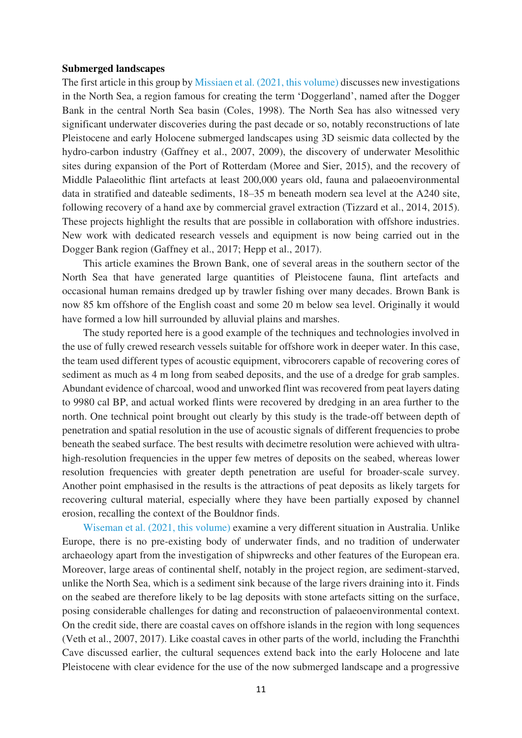#### **Submerged landscapes**

The first article in this group by Missiaen et al. (2021, this volume) discusses new investigations in the North Sea, a region famous for creating the term 'Doggerland', named after the Dogger Bank in the central North Sea basin (Coles, 1998). The North Sea has also witnessed very significant underwater discoveries during the past decade or so, notably reconstructions of late Pleistocene and early Holocene submerged landscapes using 3D seismic data collected by the hydro-carbon industry (Gaffney et al., 2007, 2009), the discovery of underwater Mesolithic sites during expansion of the Port of Rotterdam (Moree and Sier, 2015), and the recovery of Middle Palaeolithic flint artefacts at least 200,000 years old, fauna and palaeoenvironmental data in stratified and dateable sediments, 18–35 m beneath modern sea level at the A240 site, following recovery of a hand axe by commercial gravel extraction (Tizzard et al., 2014, 2015). These projects highlight the results that are possible in collaboration with offshore industries. New work with dedicated research vessels and equipment is now being carried out in the Dogger Bank region (Gaffney et al., 2017; Hepp et al., 2017).

This article examines the Brown Bank, one of several areas in the southern sector of the North Sea that have generated large quantities of Pleistocene fauna, flint artefacts and occasional human remains dredged up by trawler fishing over many decades. Brown Bank is now 85 km offshore of the English coast and some 20 m below sea level. Originally it would have formed a low hill surrounded by alluvial plains and marshes.

The study reported here is a good example of the techniques and technologies involved in the use of fully crewed research vessels suitable for offshore work in deeper water. In this case, the team used different types of acoustic equipment, vibrocorers capable of recovering cores of sediment as much as 4 m long from seabed deposits, and the use of a dredge for grab samples. Abundant evidence of charcoal, wood and unworked flint was recovered from peat layers dating to 9980 cal BP, and actual worked flints were recovered by dredging in an area further to the north. One technical point brought out clearly by this study is the trade-off between depth of penetration and spatial resolution in the use of acoustic signals of different frequencies to probe beneath the seabed surface. The best results with decimetre resolution were achieved with ultrahigh-resolution frequencies in the upper few metres of deposits on the seabed, whereas lower resolution frequencies with greater depth penetration are useful for broader-scale survey. Another point emphasised in the results is the attractions of peat deposits as likely targets for recovering cultural material, especially where they have been partially exposed by channel erosion, recalling the context of the Bouldnor finds.

Wiseman et al. (2021, this volume) examine a very different situation in Australia. Unlike Europe, there is no pre-existing body of underwater finds, and no tradition of underwater archaeology apart from the investigation of shipwrecks and other features of the European era. Moreover, large areas of continental shelf, notably in the project region, are sediment-starved, unlike the North Sea, which is a sediment sink because of the large rivers draining into it. Finds on the seabed are therefore likely to be lag deposits with stone artefacts sitting on the surface, posing considerable challenges for dating and reconstruction of palaeoenvironmental context. On the credit side, there are coastal caves on offshore islands in the region with long sequences (Veth et al., 2007, 2017). Like coastal caves in other parts of the world, including the Franchthi Cave discussed earlier, the cultural sequences extend back into the early Holocene and late Pleistocene with clear evidence for the use of the now submerged landscape and a progressive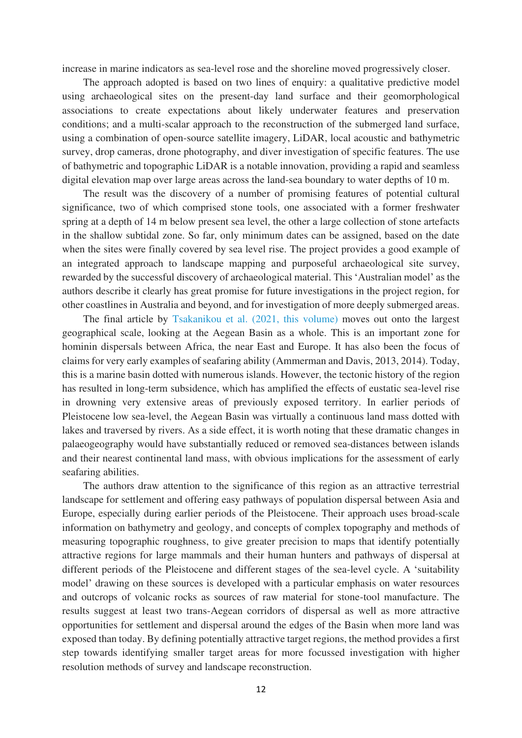increase in marine indicators as sea-level rose and the shoreline moved progressively closer.

The approach adopted is based on two lines of enquiry: a qualitative predictive model using archaeological sites on the present-day land surface and their geomorphological associations to create expectations about likely underwater features and preservation conditions; and a multi-scalar approach to the reconstruction of the submerged land surface, using a combination of open-source satellite imagery, LiDAR, local acoustic and bathymetric survey, drop cameras, drone photography, and diver investigation of specific features. The use of bathymetric and topographic LiDAR is a notable innovation, providing a rapid and seamless digital elevation map over large areas across the land-sea boundary to water depths of 10 m.

The result was the discovery of a number of promising features of potential cultural significance, two of which comprised stone tools, one associated with a former freshwater spring at a depth of 14 m below present sea level, the other a large collection of stone artefacts in the shallow subtidal zone. So far, only minimum dates can be assigned, based on the date when the sites were finally covered by sea level rise. The project provides a good example of an integrated approach to landscape mapping and purposeful archaeological site survey, rewarded by the successful discovery of archaeological material. This 'Australian model' as the authors describe it clearly has great promise for future investigations in the project region, for other coastlines in Australia and beyond, and for investigation of more deeply submerged areas.

The final article by Tsakanikou et al. (2021, this volume) moves out onto the largest geographical scale, looking at the Aegean Basin as a whole. This is an important zone for hominin dispersals between Africa, the near East and Europe. It has also been the focus of claims for very early examples of seafaring ability (Ammerman and Davis, 2013, 2014). Today, this is a marine basin dotted with numerous islands. However, the tectonic history of the region has resulted in long-term subsidence, which has amplified the effects of eustatic sea-level rise in drowning very extensive areas of previously exposed territory. In earlier periods of Pleistocene low sea-level, the Aegean Basin was virtually a continuous land mass dotted with lakes and traversed by rivers. As a side effect, it is worth noting that these dramatic changes in palaeogeography would have substantially reduced or removed sea-distances between islands and their nearest continental land mass, with obvious implications for the assessment of early seafaring abilities.

The authors draw attention to the significance of this region as an attractive terrestrial landscape for settlement and offering easy pathways of population dispersal between Asia and Europe, especially during earlier periods of the Pleistocene. Their approach uses broad-scale information on bathymetry and geology, and concepts of complex topography and methods of measuring topographic roughness, to give greater precision to maps that identify potentially attractive regions for large mammals and their human hunters and pathways of dispersal at different periods of the Pleistocene and different stages of the sea-level cycle. A 'suitability model' drawing on these sources is developed with a particular emphasis on water resources and outcrops of volcanic rocks as sources of raw material for stone-tool manufacture. The results suggest at least two trans-Aegean corridors of dispersal as well as more attractive opportunities for settlement and dispersal around the edges of the Basin when more land was exposed than today. By defining potentially attractive target regions, the method provides a first step towards identifying smaller target areas for more focussed investigation with higher resolution methods of survey and landscape reconstruction.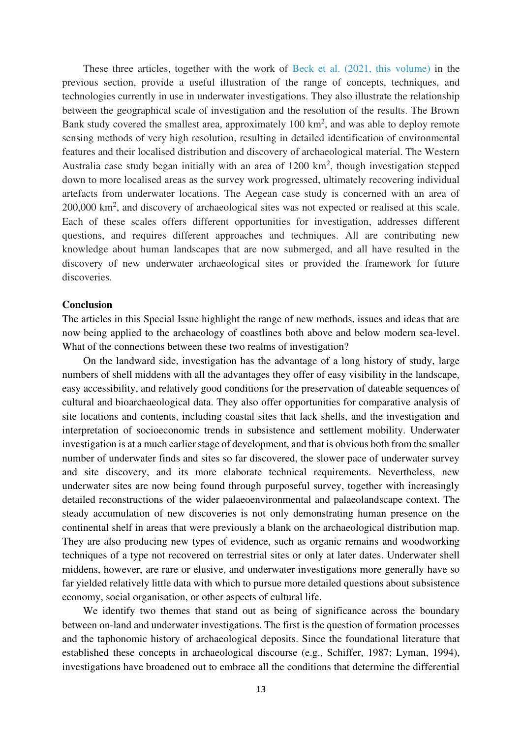These three articles, together with the work of Beck et al. (2021, this volume) in the previous section, provide a useful illustration of the range of concepts, techniques, and technologies currently in use in underwater investigations. They also illustrate the relationship between the geographical scale of investigation and the resolution of the results. The Brown Bank study covered the smallest area, approximately 100 km<sup>2</sup>, and was able to deploy remote sensing methods of very high resolution, resulting in detailed identification of environmental features and their localised distribution and discovery of archaeological material. The Western Australia case study began initially with an area of  $1200 \text{ km}^2$ , though investigation stepped down to more localised areas as the survey work progressed, ultimately recovering individual artefacts from underwater locations. The Aegean case study is concerned with an area of 200,000 km<sup>2</sup>, and discovery of archaeological sites was not expected or realised at this scale. Each of these scales offers different opportunities for investigation, addresses different questions, and requires different approaches and techniques. All are contributing new knowledge about human landscapes that are now submerged, and all have resulted in the discovery of new underwater archaeological sites or provided the framework for future discoveries.

## **Conclusion**

The articles in this Special Issue highlight the range of new methods, issues and ideas that are now being applied to the archaeology of coastlines both above and below modern sea-level. What of the connections between these two realms of investigation?

On the landward side, investigation has the advantage of a long history of study, large numbers of shell middens with all the advantages they offer of easy visibility in the landscape, easy accessibility, and relatively good conditions for the preservation of dateable sequences of cultural and bioarchaeological data. They also offer opportunities for comparative analysis of site locations and contents, including coastal sites that lack shells, and the investigation and interpretation of socioeconomic trends in subsistence and settlement mobility. Underwater investigation is at a much earlier stage of development, and that is obvious both from the smaller number of underwater finds and sites so far discovered, the slower pace of underwater survey and site discovery, and its more elaborate technical requirements. Nevertheless, new underwater sites are now being found through purposeful survey, together with increasingly detailed reconstructions of the wider palaeoenvironmental and palaeolandscape context. The steady accumulation of new discoveries is not only demonstrating human presence on the continental shelf in areas that were previously a blank on the archaeological distribution map. They are also producing new types of evidence, such as organic remains and woodworking techniques of a type not recovered on terrestrial sites or only at later dates. Underwater shell middens, however, are rare or elusive, and underwater investigations more generally have so far yielded relatively little data with which to pursue more detailed questions about subsistence economy, social organisation, or other aspects of cultural life.

We identify two themes that stand out as being of significance across the boundary between on-land and underwater investigations. The first is the question of formation processes and the taphonomic history of archaeological deposits. Since the foundational literature that established these concepts in archaeological discourse (e.g., Schiffer, 1987; Lyman, 1994), investigations have broadened out to embrace all the conditions that determine the differential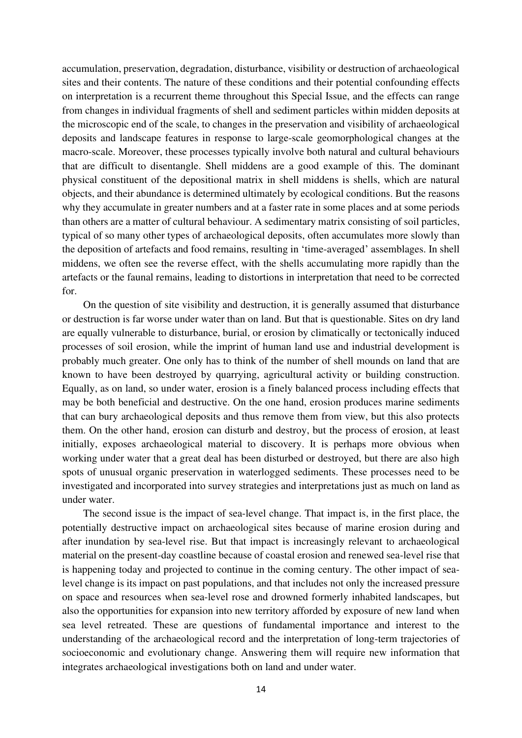accumulation, preservation, degradation, disturbance, visibility or destruction of archaeological sites and their contents. The nature of these conditions and their potential confounding effects on interpretation is a recurrent theme throughout this Special Issue, and the effects can range from changes in individual fragments of shell and sediment particles within midden deposits at the microscopic end of the scale, to changes in the preservation and visibility of archaeological deposits and landscape features in response to large-scale geomorphological changes at the macro-scale. Moreover, these processes typically involve both natural and cultural behaviours that are difficult to disentangle. Shell middens are a good example of this. The dominant physical constituent of the depositional matrix in shell middens is shells, which are natural objects, and their abundance is determined ultimately by ecological conditions. But the reasons why they accumulate in greater numbers and at a faster rate in some places and at some periods than others are a matter of cultural behaviour. A sedimentary matrix consisting of soil particles, typical of so many other types of archaeological deposits, often accumulates more slowly than the deposition of artefacts and food remains, resulting in 'time-averaged' assemblages. In shell middens, we often see the reverse effect, with the shells accumulating more rapidly than the artefacts or the faunal remains, leading to distortions in interpretation that need to be corrected for.

On the question of site visibility and destruction, it is generally assumed that disturbance or destruction is far worse under water than on land. But that is questionable. Sites on dry land are equally vulnerable to disturbance, burial, or erosion by climatically or tectonically induced processes of soil erosion, while the imprint of human land use and industrial development is probably much greater. One only has to think of the number of shell mounds on land that are known to have been destroyed by quarrying, agricultural activity or building construction. Equally, as on land, so under water, erosion is a finely balanced process including effects that may be both beneficial and destructive. On the one hand, erosion produces marine sediments that can bury archaeological deposits and thus remove them from view, but this also protects them. On the other hand, erosion can disturb and destroy, but the process of erosion, at least initially, exposes archaeological material to discovery. It is perhaps more obvious when working under water that a great deal has been disturbed or destroyed, but there are also high spots of unusual organic preservation in waterlogged sediments. These processes need to be investigated and incorporated into survey strategies and interpretations just as much on land as under water.

The second issue is the impact of sea-level change. That impact is, in the first place, the potentially destructive impact on archaeological sites because of marine erosion during and after inundation by sea-level rise. But that impact is increasingly relevant to archaeological material on the present-day coastline because of coastal erosion and renewed sea-level rise that is happening today and projected to continue in the coming century. The other impact of sealevel change is its impact on past populations, and that includes not only the increased pressure on space and resources when sea-level rose and drowned formerly inhabited landscapes, but also the opportunities for expansion into new territory afforded by exposure of new land when sea level retreated. These are questions of fundamental importance and interest to the understanding of the archaeological record and the interpretation of long-term trajectories of socioeconomic and evolutionary change. Answering them will require new information that integrates archaeological investigations both on land and under water.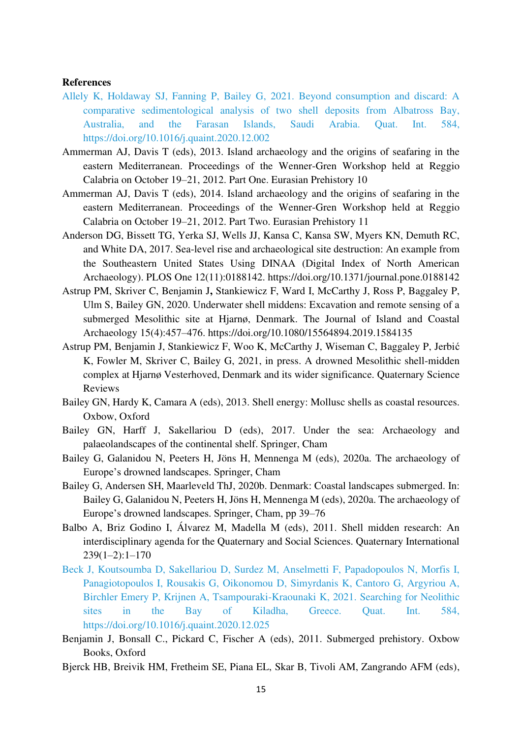## **References**

- Allely K, Holdaway SJ, Fanning P, Bailey G, 2021. Beyond consumption and discard: A comparative sedimentological analysis of two shell deposits from Albatross Bay, Australia, and the Farasan Islands, Saudi Arabia. Quat. Int. 584, <https://doi.org/10.1016/j.quaint.2020.12.002>
- Ammerman AJ, Davis T (eds), 2013. Island archaeology and the origins of seafaring in the eastern Mediterranean. Proceedings of the Wenner-Gren Workshop held at Reggio Calabria on October 19–21, 2012. Part One. Eurasian Prehistory 10
- Ammerman AJ, Davis T (eds), 2014. Island archaeology and the origins of seafaring in the eastern Mediterranean. Proceedings of the Wenner-Gren Workshop held at Reggio Calabria on October 19–21, 2012. Part Two. Eurasian Prehistory 11
- Anderson DG, Bissett TG, Yerka SJ, Wells JJ, Kansa C, Kansa SW, Myers KN, Demuth RC, and White DA, 2017. Sea-level rise and archaeological site destruction: An example from the Southeastern United States Using DINAA (Digital Index of North American Archaeology). PLOS One 12(11):0188142. https://doi.org/10.1371/journal.pone.0188142
- Astrup PM, Skriver C, Benjamin J**,** Stankiewicz F, Ward I, McCarthy J, Ross P, Baggaley P, Ulm S, Bailey GN, 2020. Underwater shell middens: Excavation and remote sensing of a submerged Mesolithic site at Hjarnø, Denmark. The Journal of Island and Coastal Archaeology 15(4):457–476. https://doi.org/10.1080/15564894.2019.1584135
- Astrup PM, Benjamin J, Stankiewicz F, Woo K, McCarthy J, Wiseman C, Baggaley P, Jerbić K, Fowler M, Skriver C, Bailey G, 2021, in press. A drowned Mesolithic shell-midden complex at Hjarnø Vesterhoved, Denmark and its wider significance. Quaternary Science Reviews
- Bailey GN, Hardy K, Camara A (eds), 2013. Shell energy: Mollusc shells as coastal resources. Oxbow, Oxford
- Bailey GN, Harff J, Sakellariou D (eds), 2017. Under the sea: Archaeology and palaeolandscapes of the continental shelf. Springer, Cham
- Bailey G, Galanidou N, Peeters H, Jöns H, Mennenga M (eds), 2020a. The archaeology of Europe's drowned landscapes. Springer, Cham
- Bailey G, Andersen SH, Maarleveld ThJ, 2020b. Denmark: Coastal landscapes submerged. In: Bailey G, Galanidou N, Peeters H, Jöns H, Mennenga M (eds), 2020a. The archaeology of Europe's drowned landscapes. Springer, Cham, pp 39–76
- Balbo A, Briz Godino I, Álvarez M, Madella M (eds), 2011. Shell midden research: An interdisciplinary agenda for the Quaternary and Social Sciences. Quaternary International  $239(1-2):1-170$
- Beck J, Koutsoumba D, Sakellariou D, Surdez M, Anselmetti F, Papadopoulos N, Morfis I, Panagiotopoulos I, Rousakis G, Oikonomou D, Simyrdanis K, Cantoro G, Argyriou A, Birchler Emery P, Krijnen A, Tsampouraki-Kraounaki K, 2021. Searching for Neolithic sites in the Bay of Kiladha, Greece. Quat. Int. 584, <https://doi.org/10.1016/j.quaint.2020.12.025>
- Benjamin J, Bonsall C., Pickard C, Fischer A (eds), 2011. Submerged prehistory. Oxbow Books, Oxford
- Bjerck HB, Breivik HM, Fretheim SE, Piana EL, Skar B, Tivoli AM, Zangrando AFM (eds),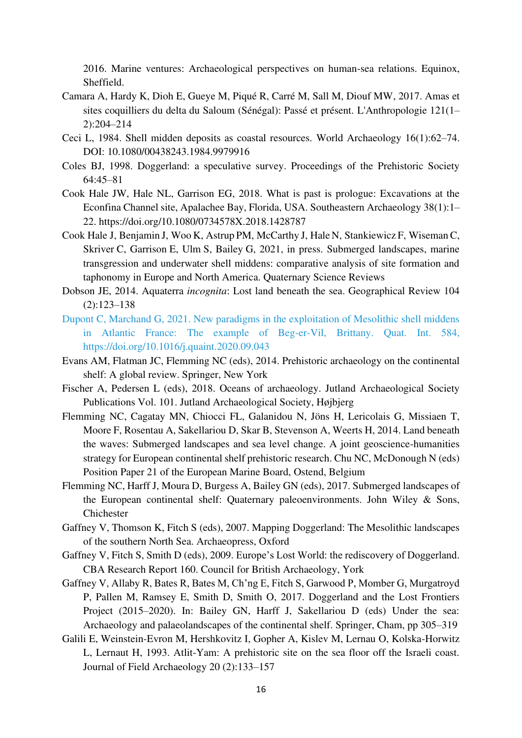2016. Marine ventures: Archaeological perspectives on human-sea relations. Equinox, Sheffield.

- Camara A, Hardy K, Dioh E, Gueye M, Piqué R, Carré M, Sall M, Diouf MW, 2017. Amas et sites coquilliers du delta du Saloum (Sénégal): Passé et présent. L'Anthropologie 121(1– 2):204–214
- Ceci L, 1984. Shell midden deposits as coastal resources. World Archaeology 16(1):62–74. DOI: 10.1080/00438243.1984.9979916
- Coles BJ, 1998. Doggerland: a speculative survey. Proceedings of the Prehistoric Society 64:45–81
- Cook Hale JW, Hale NL, Garrison EG, 2018. What is past is prologue: Excavations at the Econfina Channel site, Apalachee Bay, Florida, USA. Southeastern Archaeology 38(1):1– 22. https://doi.org/10.1080/0734578X.2018.1428787
- Cook Hale J, Benjamin J, Woo K, Astrup PM, McCarthy J, Hale N, Stankiewicz F, WisemanC, Skriver C, Garrison E, Ulm S, Bailey G, 2021, in press. Submerged landscapes, marine transgression and underwater shell middens: comparative analysis of site formation and taphonomy in Europe and North America. Quaternary Science Reviews
- Dobson JE, 2014. Aquaterra *incognita*: Lost land beneath the sea. Geographical Review 104 (2):123–138
- Dupont C, Marchand G, 2021. New paradigms in the exploitation of Mesolithic shell middens in Atlantic France: The example of Beg-er-Vil, Brittany. Quat. Int. 584, [https://doi.org/10.1016/j.quaint.2020.09.043](https://doi-org.ezproxy.is.ed.ac.uk/10.1016/j.quaint.2020.09.043)
- Evans AM, Flatman JC, Flemming NC (eds), 2014. Prehistoric archaeology on the continental shelf: A global review. Springer, New York
- Fischer A, Pedersen L (eds), 2018. Oceans of archaeology. Jutland Archaeological Society Publications Vol. 101. Jutland Archaeological Society, Højbjerg
- Flemming NC, Cagatay MN, Chiocci FL, Galanidou N, Jöns H, Lericolais G, Missiaen T, Moore F, Rosentau A, Sakellariou D, Skar B, Stevenson A, Weerts H, 2014. Land beneath the waves: Submerged landscapes and sea level change. A joint geoscience-humanities strategy for European continental shelf prehistoric research. Chu NC, McDonough N (eds) Position Paper 21 of the European Marine Board, Ostend, Belgium
- Flemming NC, Harff J, Moura D, Burgess A, Bailey GN (eds), 2017. Submerged landscapes of the European continental shelf: Quaternary paleoenvironments. John Wiley & Sons, Chichester
- Gaffney V, Thomson K, Fitch S (eds), 2007. Mapping Doggerland: The Mesolithic landscapes of the southern North Sea. Archaeopress, Oxford
- Gaffney V, Fitch S, Smith D (eds), 2009. Europe's Lost World: the rediscovery of Doggerland. CBA Research Report 160. Council for British Archaeology, York
- Gaffney V, Allaby R, Bates R, Bates M, Ch'ng E, Fitch S, Garwood P, Momber G, Murgatroyd P, Pallen M, Ramsey E, Smith D, Smith O, 2017. Doggerland and the Lost Frontiers Project (2015–2020). In: Bailey GN, Harff J, Sakellariou D (eds) Under the sea: Archaeology and palaeolandscapes of the continental shelf. Springer, Cham, pp 305–319
- Galili E, Weinstein-Evron M, Hershkovitz I, Gopher A, Kislev M, Lernau O, Kolska-Horwitz L, Lernaut H, 1993. Atlit-Yam: A prehistoric site on the sea floor off the Israeli coast. Journal of Field Archaeology 20 (2):133–157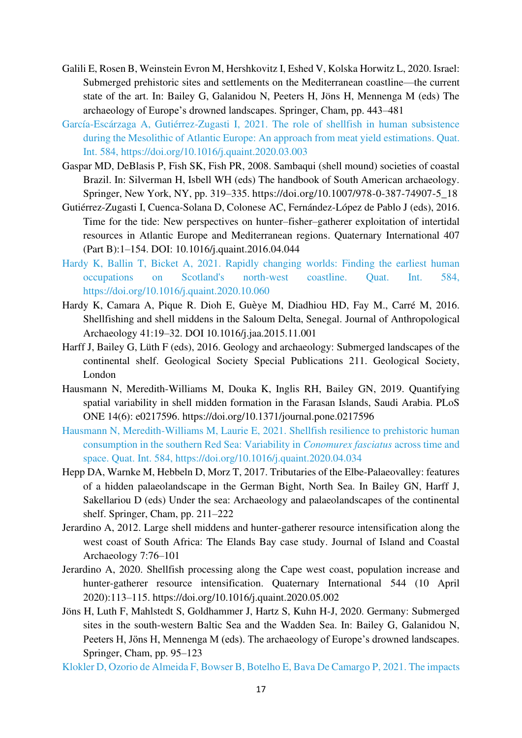- Galili E, Rosen B, Weinstein Evron M, Hershkovitz I, Eshed V, Kolska Horwitz L, 2020. Israel: Submerged prehistoric sites and settlements on the Mediterranean coastline—the current state of the art. In: Bailey G, Galanidou N, Peeters H, Jöns H, Mennenga M (eds) The archaeology of Europe's drowned landscapes. Springer, Cham, pp. 443–481
- García-Escárzaga A, Gutiérrez-Zugasti I, 2021. The role of shellfish in human subsistence during the Mesolithic of Atlantic Europe: An approach from meat yield estimations. Quat. Int. 584, https://doi.org/10.1016/j.quaint.2020.03.003
- Gaspar MD, DeBlasis P, Fish SK, Fish PR, 2008. Sambaqui (shell mound) societies of coastal Brazil. In: Silverman H, Isbell WH (eds) The handbook of South American archaeology. Springer, New York, NY, pp. 319–335. https://doi.org/10.1007/978-0-387-74907-5\_18
- Gutiérrez-Zugasti I, Cuenca-Solana D, Colonese AC, Fernández-López de Pablo J (eds), 2016. Time for the tide: New perspectives on hunter–fisher–gatherer exploitation of intertidal resources in Atlantic Europe and Mediterranean regions. Quaternary International 407 (Part B):1–154. DOI: 10.1016/j.quaint.2016.04.044
- Hardy K, Ballin T, Bicket A, 2021. Rapidly changing worlds: Finding the earliest human occupations on Scotland's north-west coastline. Quat. Int. 584, https://doi.org/10.1016/j.quaint.2020.10.060
- Hardy K, Camara A, Pique R. Dioh E, Guѐye M, Diadhiou HD, Fay M., Carré M, 2016. Shellfishing and shell middens in the Saloum Delta, Senegal. Journal of Anthropological Archaeology 41:19–32. DOI 10.1016/j.jaa.2015.11.001
- Harff J, Bailey G, Lüth F (eds), 2016. Geology and archaeology: Submerged landscapes of the continental shelf. Geological Society Special Publications 211. Geological Society, London
- Hausmann N, Meredith-Williams M, Douka K, Inglis RH, Bailey GN, 2019. Quantifying spatial variability in shell midden formation in the Farasan Islands, Saudi Arabia. PLoS ONE 14(6): e0217596. https://doi.org/10.1371/journal.pone.0217596
- Hausmann N, Meredith-Williams M, Laurie E, 2021. Shellfish resilience to prehistoric human consumption in the southern Red Sea: Variability in *Conomurex fasciatus* across time and space. Quat. Int. 584, https://doi.org/10.1016/j.quaint.2020.04.034
- Hepp DA, Warnke M, Hebbeln D, Morz T, 2017. Tributaries of the Elbe-Palaeovalley: features of a hidden palaeolandscape in the German Bight, North Sea. In Bailey GN, Harff J, Sakellariou D (eds) Under the sea: Archaeology and palaeolandscapes of the continental shelf. Springer, Cham, pp. 211–222
- Jerardino A, 2012. Large shell middens and hunter-gatherer resource intensification along the west coast of South Africa: The Elands Bay case study. Journal of Island and Coastal Archaeology 7:76–101
- Jerardino A, 2020. Shellfish processing along the Cape west coast, population increase and hunter-gatherer resource intensification. Quaternary International 544 (10 April 2020):113–115. https://doi.org/10.1016/j.quaint.2020.05.002
- Jöns H, Luth F, Mahlstedt S, Goldhammer J, Hartz S, Kuhn H-J, 2020. Germany: Submerged sites in the south-western Baltic Sea and the Wadden Sea. In: Bailey G, Galanidou N, Peeters H, Jöns H, Mennenga M (eds). The archaeology of Europe's drowned landscapes. Springer, Cham, pp. 95–123

Klokler D, Ozorio de Almeida F, Bowser B, Botelho E, Bava De Camargo P, 2021. The impacts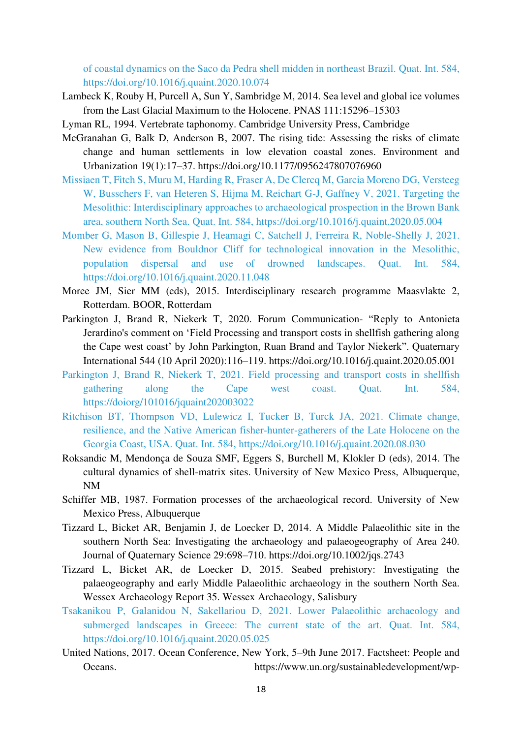of coastal dynamics on the Saco da Pedra shell midden in northeast Brazil. Quat. Int. 584, https://doi.org/10.1016/j.quaint.2020.10.074

- Lambeck K, Rouby H, Purcell A, Sun Y, Sambridge M, 2014. Sea level and global ice volumes from the Last Glacial Maximum to the Holocene. PNAS 111:15296–15303
- Lyman RL, 1994. Vertebrate taphonomy. Cambridge University Press, Cambridge
- McGranahan G, Balk D, Anderson B, 2007. The rising tide: Assessing the risks of climate change and human settlements in low elevation coastal zones. Environment and Urbanization 19(1):17–37. https://doi.org/10.1177/0956247807076960
- Missiaen T, Fitch S, Muru M, Harding R, Fraser A, De Clercq M, Garcia Moreno DG, Versteeg W, Busschers F, van Heteren S, Hijma M, Reichart G-J, Gaffney V, 2021. Targeting the Mesolithic: Interdisciplinary approaches to archaeological prospection in the Brown Bank area, southern North Sea. Quat. Int. 584, https://doi.org/10.1016/j.quaint.2020.05.004
- Momber G, Mason B, Gillespie J, Heamagi C, Satchell J, Ferreira R, Noble-Shelly J, 2021. New evidence from Bouldnor Cliff for technological innovation in the Mesolithic, population dispersal and use of drowned landscapes. Quat. Int. 584, https://doi.org/10.1016/j.quaint.2020.11.048
- Moree JM, Sier MM (eds), 2015. Interdisciplinary research programme Maasvlakte 2, Rotterdam. BOOR, Rotterdam
- Parkington J, Brand R, Niekerk T, 2020. Forum Communication- "Reply to Antonieta Jerardino's comment on 'Field Processing and transport costs in shellfish gathering along the Cape west coast' by John Parkington, Ruan Brand and Taylor Niekerk". Quaternary International 544 (10 April 2020):116–119. https://doi.org/10.1016/j.quaint.2020.05.001
- Parkington J, Brand R, Niekerk T, 2021. Field processing and transport costs in shellfish gathering along the Cape west coast. Quat. Int. 584, https://doiorg/101016/jquaint202003022
- Ritchison BT, Thompson VD, Lulewicz I, Tucker B, Turck JA, 2021. Climate change, resilience, and the Native American fisher-hunter-gatherers of the Late Holocene on the Georgia Coast, USA. Quat. Int. 584, https://doi.org/10.1016/j.quaint.2020.08.030
- Roksandic M, Mendonça de Souza SMF, Eggers S, Burchell M, Klokler D (eds), 2014. The cultural dynamics of shell-matrix sites. University of New Mexico Press, Albuquerque, NM
- Schiffer MB, 1987. Formation processes of the archaeological record. University of New Mexico Press, Albuquerque
- Tizzard L, Bicket AR, Benjamin J, de Loecker D, 2014. A Middle Palaeolithic site in the southern North Sea: Investigating the archaeology and palaeogeography of Area 240. Journal of Quaternary Science 29:698–710. https://doi.org/10.1002/jqs.2743
- Tizzard L, Bicket AR, de Loecker D, 2015. Seabed prehistory: Investigating the palaeogeography and early Middle Palaeolithic archaeology in the southern North Sea. Wessex Archaeology Report 35. Wessex Archaeology, Salisbury
- Tsakanikou P, Galanidou N, Sakellariou D, 2021. Lower Palaeolithic archaeology and submerged landscapes in Greece: The current state of the art. Quat. Int. 584, https://doi.org/10.1016/j.quaint.2020.05.025
- United Nations, 2017. Ocean Conference, New York, 5–9th June 2017. Factsheet: People and Oceans. https://www.un.org/sustainabledevelopment/wp-